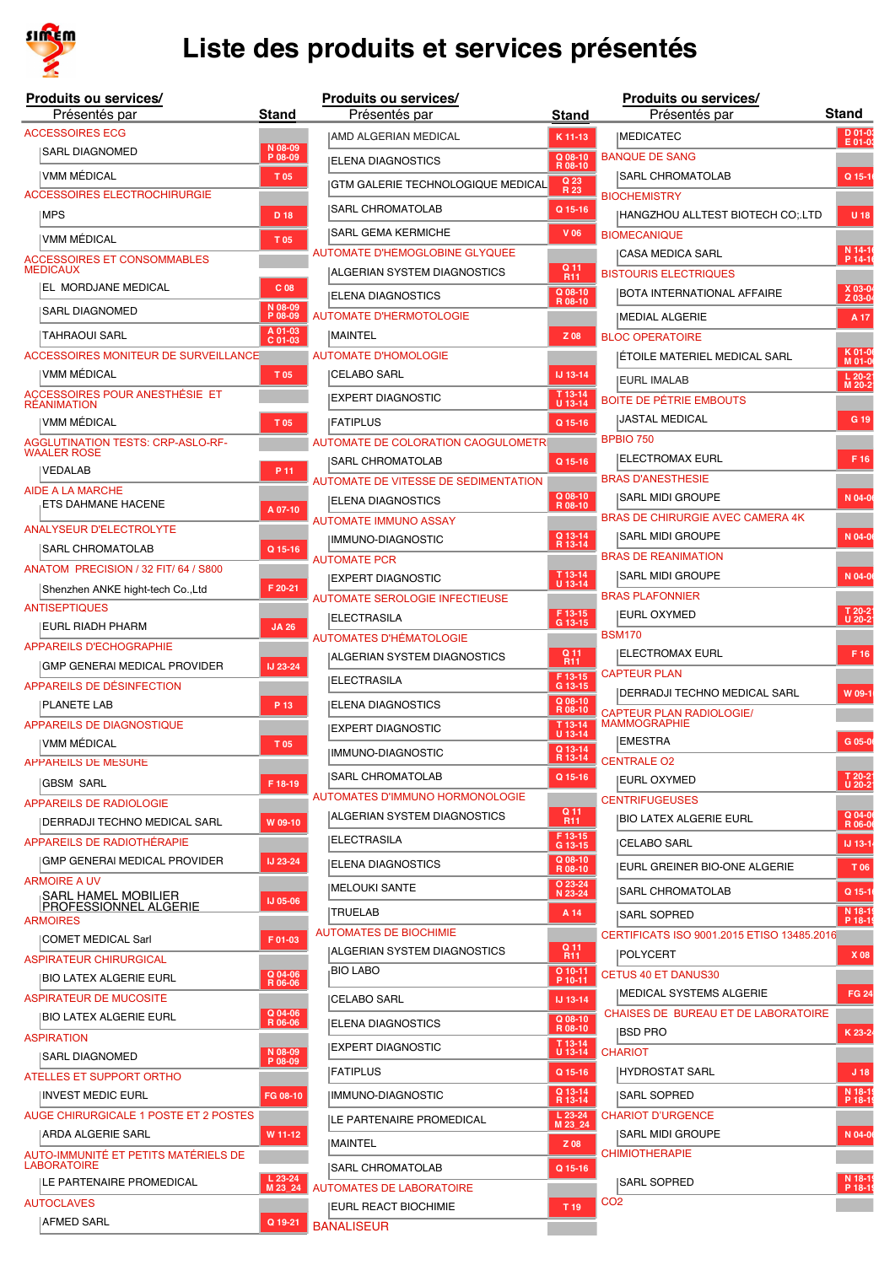

| Produits ou services/                                             |                      | Produits ou services/                    |                            |                 | Produits ou services/                                   |                        |
|-------------------------------------------------------------------|----------------------|------------------------------------------|----------------------------|-----------------|---------------------------------------------------------|------------------------|
| Présentés par                                                     | <b>Stand</b>         | Présentés par                            | <b>Stand</b>               |                 | Présentés par                                           | <b>Stand</b>           |
| <b>ACCESSOIRES ECG</b>                                            |                      | <b>JAMD ALGERIAN MEDICAL</b>             | K 11-13                    |                 | <b>IMEDICATEC</b>                                       | $D 01-03$<br>$E$ 01-03 |
| SARL DIAGNOMED                                                    | N 08-09<br>P 08-09   | ELENA DIAGNOSTICS                        | $Q$ 08-10<br>R 08-10       |                 | <b>BANQUE DE SANG</b>                                   |                        |
| IVMM MÉDICAL                                                      | T 05                 | <b>GTM GALERIE TECHNOLOGIQUE MEDICAL</b> | Q 23<br>R 23               |                 | SARL CHROMATOLAB                                        | $Q$ 15-1               |
| <b>ACCESSOIRES ELECTROCHIRURGIE</b><br>MPS                        | D 18                 | <b>SARL CHROMATOLAB</b>                  | Q 15-16                    |                 | <b>BIOCHEMISTRY</b><br>HANGZHOU ALLTEST BIOTECH CO; LTD | U 18                   |
|                                                                   |                      | <b>SARL GEMA KERMICHE</b>                | $V$ 06                     |                 | <b>BIOMECANIQUE</b>                                     |                        |
| <b>VMM MÉDICAL</b>                                                | T 05                 | AUTOMATE D'HÉMOGLOBINE GLYQUÉE           |                            |                 | CASA MEDICA SARL                                        | N 14-16<br>P 14-16     |
| <b>ACCESSOIRES ET CONSOMMABLES</b><br><b>MEDICAUX</b>             |                      | <b>IALGERIAN SYSTEM DIAGNOSTICS</b>      | $\frac{Q}{R11}$            |                 | <b>BISTOURIS ELECTRIQUES</b>                            |                        |
| EL MORDJANE MEDICAL                                               | C <sub>08</sub>      | ELENA DIAGNOSTICS                        | Q 08-10<br>R 08-10         |                 | BOTA INTERNATIONAL AFFAIRE                              | $X$ 03-04<br>Z 03-04   |
| <b>SARL DIAGNOMED</b>                                             | N 08-09<br>P 08-09   | AUTOMATE D'HÉRMOTOLOGIE                  |                            |                 | <b>IMEDIAL ALGERIE</b>                                  | A 17                   |
| TAHRAOUI SARL                                                     | A 01-03<br>C 01-03   | <b>MAINTEL</b>                           | Z 08                       |                 | <b>BLOC OPERATOIRE</b>                                  |                        |
| ACCESSOIRES MONITEUR DE SURVEILLANCE                              |                      | <b>AUTOMATE D'HOMOLOGIE</b>              |                            |                 | <b>ETOILE MATERIEL MEDICAL SARL</b>                     | K 01-06<br>M 01-06     |
| VMM MÉDICAL                                                       | T 05                 | <b>CELABO SARL</b>                       | IJ 13-14                   |                 | <b>IEURL IMALAB</b>                                     | $L 20-2$<br>M 20-2     |
| ACCESSOIRES POUR ANESTHÉSIE ET<br><b>RÉANIMATION</b>              |                      | <b>IEXPERT DIAGNOSTIC</b>                | T 13-14<br>$U$ 13-14       |                 | <b>BOITE DE PÉTRIE EMBOUTS</b>                          |                        |
| VMM MÉDICAL                                                       | T 05                 | <b>FATIPLUS</b>                          | Q 15-16                    |                 | <b>JASTAL MEDICAL</b>                                   | G 19                   |
| <b>AGGLUTINATION TESTS: CRP-ASLO-RF-</b>                          |                      | AUTOMATE DE COLORATION CAOGULOMETRI      |                            |                 | <b>BPBIO 750</b>                                        |                        |
| <b>WAALER ROSE</b><br><b>VEDALAB</b>                              | P 11                 | SARL CHROMATOLAB                         | Q 15-16                    |                 | <b>IELECTROMAX EURL</b>                                 | F 16                   |
| <b>AIDE A LA MARCHE</b>                                           |                      | AUTOMATE DE VITESSE DE SÉDIMENTATION     |                            |                 | <b>BRAS D'ANESTHESIE</b>                                |                        |
| ETS DAHMANE HACENE                                                | A 07-10              | <b>ELENA DIAGNOSTICS</b>                 | $Q$ 08-10<br>R 08-10       |                 | <b>ISARL MIDI GROUPE</b>                                | N 04-0                 |
| ANALYSEUR D'ÉLECTROLYTE                                           |                      | <b>AUTOMATE IMMUNO ASSAY</b>             |                            |                 | BRAS DE CHIRURGIE AVEC CAMERA 4K                        |                        |
| <b>SARL CHROMATOLAB</b>                                           | Q 15-16              | IMMUNO-DIAGNOSTIC                        | Q 13-14<br>R 13-14         |                 | SARL MIDI GROUPE                                        | N 04-0                 |
| ANATOM PRECISION / 32 FIT/ 64 / S800                              |                      | <b>AUTOMATE PCR</b>                      |                            |                 | <b>BRAS DE REANIMATION</b>                              |                        |
| Shenzhen ANKE hight-tech Co., Ltd                                 | F 20-21              | <b>EXPERT DIAGNOSTIC</b>                 | T 13-14<br>$U$ 13-14       |                 | SARL MIDI GROUPE                                        | N 04-0                 |
| <b>ANTISEPTIQUES</b>                                              |                      | AUTOMATE SÉROLOGIE INFECTIEUSE           |                            |                 | <b>BRAS PLAFONNIER</b>                                  |                        |
| EURL RIADH PHARM                                                  | <b>JA 26</b>         | ELECTRASILA                              | F 13-15<br>G 13-15         |                 | EURL OXYMED                                             | T 20-21<br>U 20-21     |
| <b>APPAREILS D'ÉCHOGRAPHIE</b>                                    |                      | <b>AUTOMATES D'HÉMATOLOGIE</b>           | Q 11                       |                 | <b>BSM170</b><br><b>ELECTROMAX EURL</b>                 | F 16                   |
| GMP GENERAI MEDICAL PROVIDER                                      | IJ 23-24             | ALGERIAN SYSTEM DIAGNOSTICS              | <b>R11</b>                 |                 | <b>CAPTEUR PLAN</b>                                     |                        |
| APPAREILS DE DÉSINFECTION                                         |                      | <b>ELECTRASILA</b>                       | F 13-15<br>G 13-15         |                 | <b>IDERRADJI TECHNO MEDICAL SARL</b>                    | W 09-1                 |
| <b>PLANETE LAB</b>                                                | P 13                 | <b>IELENA DIAGNOSTICS</b>                | Q 08-10<br>R 08-10         |                 | <b>CAPTEUR PLAN RADIOLOGIE/</b>                         |                        |
| <b>APPAREILS DE DIAGNOSTIQUE</b>                                  |                      | EXPERT DIAGNOSTIC                        | T 13-14<br>$U$ 13-14       |                 | <b>MAMMOGRAPHIE</b>                                     |                        |
| VMM MÉDICAL                                                       | T 05                 | IMMUNO-DIAGNOSTIC                        | Q 13-14                    |                 | <b>EMESTRA</b>                                          | G 05-0                 |
| <b>APPAREILS DE MESURE</b>                                        |                      | SARL CHROMATOLAB                         | $Q$ 15-16                  |                 | R 13-14 CENTRALE O2                                     |                        |
| GBSM SARL                                                         | F 18-19              | AUTOMATES D'IMMUNO HORMONOLOGIE          |                            |                 | <b>EURL OXYMED</b><br><b>CENTRIFUGEUSES</b>             | T 20-21<br>U 20-21     |
| <b>APPAREILS DE RADIOLOGIE</b>                                    |                      | IALGERIAN SYSTEM DIAGNOSTICS             | Q 11                       |                 | <b>IBIO LATEX ALGERIE EURL</b>                          | $Q$ 04-0               |
| IDERRADJI TECHNO MEDICAL SARL                                     | W 09-10              | IELECTRASILA                             | R <sub>11</sub><br>F 13-15 |                 |                                                         |                        |
| APPAREILS DE RADIOTHÉRAPIE<br><b>GMP GENERAI MEDICAL PROVIDER</b> | <b>IJ 23-24</b>      |                                          | G 13-15<br>$Q$ 08-10       |                 | CELABO SARL                                             | IJ 13-1                |
| <b>ARMOIRE A UV</b>                                               |                      | <b>IELENA DIAGNOSTICS</b>                | R 08-10                    |                 | <b>IEURL GREINER BIO-ONE ALGERIE</b>                    | T 06                   |
| SARL HAMEL MOBILIER                                               | <b>IJ 05-06</b>      | MELOUKI SANTE                            | O 23-24<br>N 23-24         |                 | SARL CHROMATOLAB                                        | Q 15-1                 |
| <b>PROFESSIONNEL ALGERIE</b><br><b>ARMOIRES</b>                   |                      | TRUELAB                                  | A 14                       |                 | <b>ISARL SOPRED</b>                                     | N 18-19<br>P 18-19     |
| COMET MEDICAL Sarl                                                | F 01-03              | <b>AUTOMATES DE BIOCHIMIE</b>            |                            |                 | CERTIFICATS ISO 9001.2015 ETISO 13485.2016              |                        |
| <b>ASPIRATEUR CHIRURGICAL</b>                                     |                      | ALGERIAN SYSTEM DIAGNOSTICS              | Q 11<br>R <sub>11</sub>    |                 | POLYCERT                                                | X 08                   |
| BIO LATEX ALGERIE EURL                                            | Q 04-06<br>R 06-06   | <sub>I</sub> BIO LABO                    | $O$ 10-11<br>P 10-11       |                 | <b>CETUS 40 ET DANUS30</b>                              |                        |
| <b>ASPIRATEUR DE MUCOSITÉ</b>                                     |                      | CELABO SARL                              | IJ 13-14                   |                 | MEDICAL SYSTEMS ALGERIE                                 | <b>FG 24</b>           |
| BIO LATEX ALGERIE EURL                                            | Q 04-06<br>R 06-06   | ELENA DIAGNOSTICS                        | Q 08-10<br>R 08-10         |                 | CHAISES DE BUREAU ET DE LABORATOIRE                     |                        |
| <b>ASPIRATION</b>                                                 |                      | EXPERT DIAGNOSTIC                        | T 13-14                    |                 | <b>BSD PRO</b>                                          | K 23-24                |
| SARL DIAGNOMED                                                    | N 08-09<br>P 08-09   |                                          | U 13-14                    |                 | <b>CHARIOT</b>                                          |                        |
| ATELLES ET SUPPORT ORTHO                                          |                      | <b>FATIPLUS</b>                          | Q 15-16                    |                 | HYDROSTAT SARL                                          | J <sub>18</sub>        |
| INVEST MEDIC EURL                                                 | FG 08-10             | IMMUNO-DIAGNOSTIC                        | Q 13-14<br>R 13-14         |                 | SARL SOPRED                                             | N 18-19<br>P 18-19     |
| AUGE CHIRURGICALE 1 POSTE ET 2 POSTES                             |                      | LE PARTENAIRE PROMEDICAL                 | $L$ 23-24<br>M 23_24       |                 | <b>CHARIOT D'URGENCE</b>                                |                        |
| ARDA ALGERIE SARL                                                 | W 11-12              | MAINTEL                                  | Z 08                       |                 | SARL MIDI GROUPE                                        | N 04-0                 |
| AUTO-IMMUNITÉ ET PETITS MATÉRIELS DE<br><b>LABORATOIRE</b>        |                      | <b>SARL CHROMATOLAB</b>                  | Q 15-16                    |                 | CHIMIOTHERAPIE                                          |                        |
| LE PARTENAIRE PROMEDICAL                                          | $L$ 23-24<br>M 23 24 | <b>AUTOMATES DE LABORATOIRE</b>          |                            |                 | SARL SOPRED                                             | N 18-19<br>P 18-19     |
| <b>AUTOCLAVES</b>                                                 |                      | <b>IEURL REACT BIOCHIMIE</b>             | T 19                       | CO <sub>2</sub> |                                                         |                        |
| AFMED SARL                                                        | Q 19-21              | <b>BANALISEUR</b>                        |                            |                 |                                                         |                        |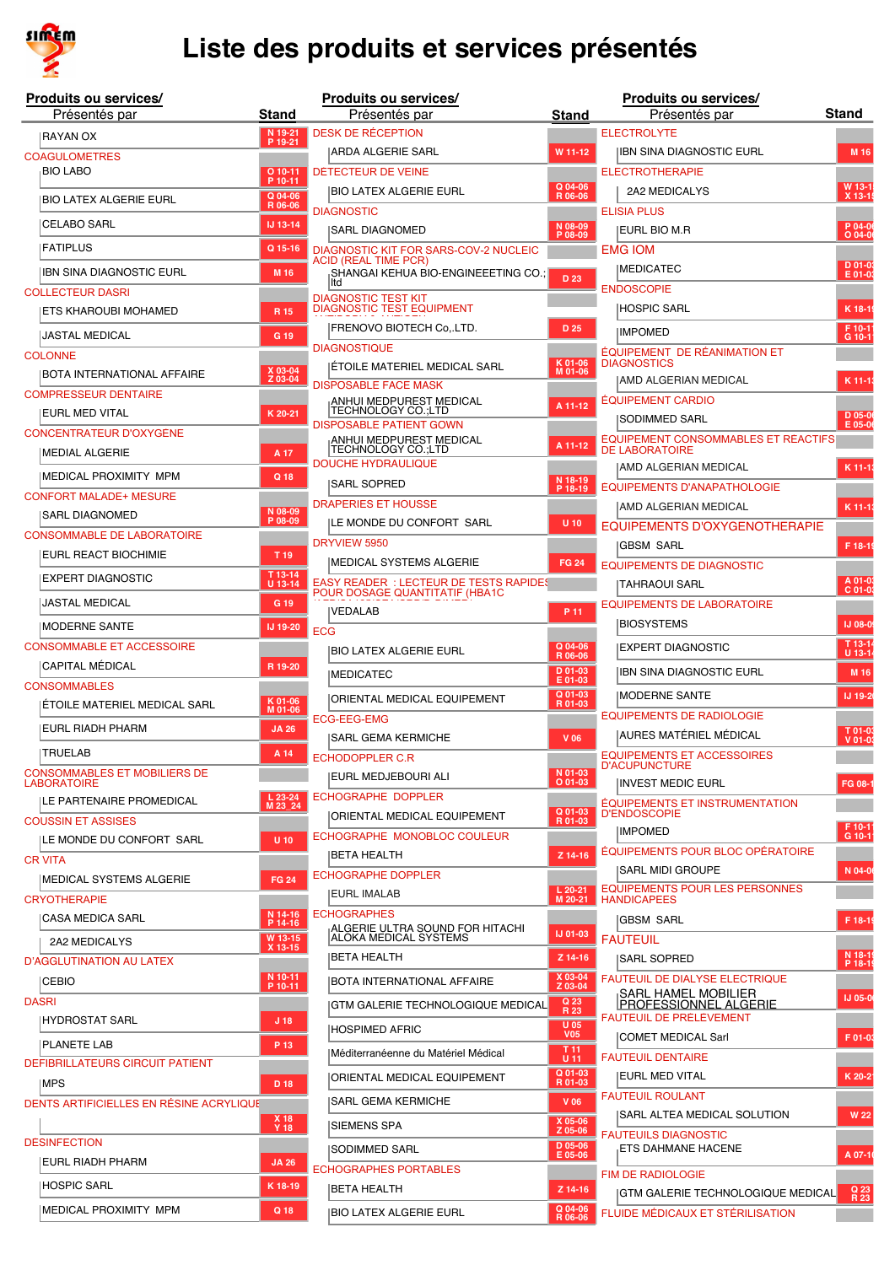

| <b>Produits ou services/</b>                              |                      |            | Produits ou services/                                                          |                                 | Produits ou services/                                        |                     |
|-----------------------------------------------------------|----------------------|------------|--------------------------------------------------------------------------------|---------------------------------|--------------------------------------------------------------|---------------------|
| Présentés par                                             | Stand                |            | Présentés par                                                                  | Stand                           | Présentés par                                                | <b>Stand</b>        |
| <b>RAYAN OX</b>                                           | N 19-21<br>P 19-21   |            | DESK DE RÉCEPTION                                                              |                                 | <b>ELECTROLYTE</b>                                           |                     |
| <b>COAGULOMETRES</b>                                      |                      |            | ARDA ALGERIE SARL                                                              | W 11-12                         | <b>IBN SINA DIAGNOSTIC EURL</b>                              | M 16                |
| <b>BIO LABO</b>                                           | $O$ 10-11<br>P 10-11 |            | DÉTECTEUR DE VEINE                                                             |                                 | <b>ELECTROTHERAPIE</b>                                       |                     |
| BIO LATEX ALGERIE EURL                                    | Q 04-06<br>R 06-06   |            | BIO LATEX ALGERIE EURL                                                         | Q 04-06<br>R 06-06              | 2A2 MEDICALYS                                                | W 13-1              |
| <b>ICELABO SARL</b>                                       | IJ 13-14             |            | <b>DIAGNOSTIC</b>                                                              | N 08-09                         | <b>ELISIA PLUS</b>                                           |                     |
|                                                           |                      |            | SARL DIAGNOMED                                                                 | P 08-09                         | <b>EURL BIO M.R</b>                                          | P 04-06<br>O 04-06  |
| FATIPLUS                                                  | Q 15-16              |            | DIAGNOSTIC KIT FOR SARS-COV-2 NUCLEIC<br><b>ACID (REAL TIME PCR)</b>           |                                 | <b>EMG IOM</b>                                               | $D 01-0$            |
| IBN SINA DIAGNOSTIC EURL                                  | M 16                 |            | SHANGAI KEHUA BIO-ENGINEEETING CO.;<br>lltd                                    | D <sub>23</sub>                 | <b>IMEDICATEC</b>                                            | E 01-0              |
| <b>COLLECTEUR DASRI</b>                                   |                      |            | <b>DIAGNOSTIC TEST KIT</b><br><b>DIAGNOSTIC TEST EQUIPMENT</b>                 |                                 | <b>ENDOSCOPIE</b><br><b>HOSPIC SARL</b>                      | K 18-1              |
| ETS KHAROUBI MOHAMED                                      | R 15                 |            | FRENOVO BIOTECH CoLTD.                                                         | D 25                            |                                                              |                     |
| JASTAL MEDICAL                                            | G 19                 |            | <b>DIAGNOSTIQUE</b>                                                            |                                 | <b>IMPOMED</b><br>ÉQUIPEMENT DE RÉANIMATION ET               | F 10-11<br>G 10-11  |
| <b>COLONNE</b>                                            | X 03-04              |            | ÉTOILE MATERIEL MEDICAL SARL                                                   | K 01-06<br>M 01-06              | <b>DIAGNOSTICS</b>                                           |                     |
| BOTA INTERNATIONAL AFFAIRE                                | Z 03-04              |            | <b>DISPOSABLE FACE MASK</b>                                                    |                                 | AMD ALGERIAN MEDICAL                                         | $K$ 11-13           |
| <b>COMPRESSEUR DENTAIRE</b><br> EURL MED VITAL            | K 20-21              |            | ANHUI MEDPUREST MEDICAL<br>TECHNOLOGY CO.;LTD                                  | A 11-12                         | <b>ÉQUIPEMENT CARDIO</b>                                     |                     |
| CONCENTRATEUR D'OXYGÉNE                                   |                      |            | <b>DISPOSABLE PATIENT GOWN</b>                                                 |                                 | <b>ISODIMMED SARL</b>                                        | D 05-06<br>E 05-06  |
| <b>IMEDIAL ALGERIE</b>                                    | A 17                 |            | ANHUI MEDPUREST MEDICAL<br>TECHNOLOGY CO.;LTD                                  | A 11-12                         | ÉQUIPEMENT CONSOMMABLES ET RÉACTIFS<br><b>DE LABORATOIRE</b> |                     |
|                                                           |                      |            | <b>DOUCHE HYDRAULIQUE</b>                                                      |                                 | <b>AMD ALGERIAN MEDICAL</b>                                  | K 11-1              |
| MEDICAL PROXIMITY MPM<br><b>CONFORT MALADE+ MESURE</b>    | Q 18                 |            | SARL SOPRED                                                                    | N 18-19<br>P 18-19              | <b>ÉQUIPEMENTS D'ANAPATHOLOGIE</b>                           |                     |
| <b>ISARL DIAGNOMED</b>                                    | N 08-09              |            | <b>DRAPERIES ET HOUSSE</b>                                                     |                                 | AMD ALGERIAN MEDICAL                                         | $K$ 11-13           |
| <b>CONSOMMABLE DE LABORATOIRE</b>                         | P 08-09              |            | <b>ILE MONDE DU CONFORT SARL</b>                                               | $U$ 10                          | EQUIPEMENTS D'OXYGENOTHERAPIE                                |                     |
| EURL REACT BIOCHIMIE                                      | T 19                 |            | DRYVIEW 5950                                                                   |                                 | GBSM SARL                                                    | F 18-19             |
| EXPERT DIAGNOSTIC                                         | T 13-14              |            | MEDICAL SYSTEMS ALGERIE                                                        | <b>FG 24</b>                    | <b>EQUIPEMENTS DE DIAGNOSTIC</b>                             |                     |
|                                                           | U 13-14              |            | <b>EASY READER: LECTEUR DE TESTS RAPIDES</b><br>POUR DOSAGE QUANTITATIF (HBA1C |                                 | TAHRAOUI SARL                                                | A 01-03<br>C 01-03  |
| JASTAL MEDICAL                                            | G 19                 |            | <b>IVEDALAB</b>                                                                | P 11                            | <b>EQUIPEMENTS DE LABORATOIRE</b>                            |                     |
| MODERNE SANTE                                             | IJ 19-20             | <b>ECG</b> |                                                                                |                                 | <b>BIOSYSTEMS</b>                                            | IJ 08-0             |
| <b>CONSOMMABLE ET ACCESSOIRE</b>                          |                      |            | <b>BIO LATEX ALGERIE EURL</b>                                                  | $Q$ 04-06<br>R 06-06            | <b>EXPERT DIAGNOSTIC</b>                                     | T 13-14<br>U 13-14  |
| CAPITAL MÉDICAL                                           | R 19-20              |            | <b>IMEDICATEC</b>                                                              | D 01-03<br>$E$ 01-03            | <b>IIBN SINA DIAGNOSTIC EURL</b>                             | M 16                |
| <b>CONSOMMABLES</b>                                       | K 01-06              |            | <b>ORIENTAL MEDICAL EQUIPEMENT</b>                                             | Q 01-03<br>R 01-03              | <b>IMODERNE SANTE</b>                                        | IJ 19-20            |
| ÉTOILE MATERIEL MEDICAL SARL                              | M 01-06              |            | <b>ECG-EEG-EMG</b>                                                             |                                 | <b>ÉQUIPEMENTS DE RADIOLOGIE</b>                             |                     |
| <b>EURL RIADH PHARM</b>                                   | <b>JA 26</b>         |            | <b>SARL GEMA KERMICHE</b>                                                      | V 06                            | <b>AURES MATÉRIEL MÉDICAL</b>                                | T 01-03<br>$V$ 01-0 |
| <b>TRUELAB</b>                                            | A 14                 |            | <b>ECHODOPPLER C.R</b>                                                         |                                 | <b>EQUIPEMENTS ET ACCESSOIRES</b><br><b>D'ACUPUNCTURE</b>    |                     |
| <b>CONSOMMABLES ET MOBILIERS DE</b><br><b>LABORATOIRE</b> |                      |            | EURL MEDJEBOURI ALI                                                            | N 01-03<br>$O$ 01-03            | <b>IINVEST MEDIC EURL</b>                                    | FG 08-1             |
| LE PARTENAIRE PROMEDICAL                                  | $L$ 23-24<br>M 23_24 |            | <b>ECHOGRAPHE DOPPLER</b>                                                      |                                 | <b>ÉQUIPEMENTS ET INSTRUMENTATION</b>                        |                     |
| <b>COUSSIN ET ASSISES</b>                                 |                      |            | ORIENTAL MEDICAL EQUIPEMENT                                                    | Q 01-03<br>R 01-03              | <b>D'ENDOSCOPIE</b>                                          |                     |
| ILE MONDE DU CONFORT SARL                                 | $U$ 10               |            | ECHOGRAPHE MONOBLOC COULEUR                                                    |                                 | <b>IMPOMED</b><br><b>EQUIPEMENTS POUR BLOC OPÉRATOIRE</b>    | F 10-11<br>G 10-11  |
| <b>CR VITA</b>                                            |                      |            | BETA HEALTH                                                                    | $Z$ 14-16                       | sarl midi groupe                                             | N 04-06             |
| MEDICAL SYSTEMS ALGERIE                                   | <b>FG 24</b>         |            | <b>ECHOGRAPHE DOPPLER</b>                                                      | $L 20-21$                       | <b>EQUIPEMENTS POUR LES PERSONNES</b>                        |                     |
| <b>CRYOTHERAPIE</b>                                       | N 14-16              |            | EURL IMALAB<br><b>ECHOGRAPHES</b>                                              | M 20-21                         | <b>HANDICAPEES</b>                                           |                     |
| CASA MEDICA SARL                                          | P 14-16              |            | ALGERIE ULTRA SOUND FOR HITACHI                                                | <b>IJ 01-03</b>                 | <b>GBSM SARL</b>                                             | F 18-19             |
| <b>2A2 MEDICALYS</b>                                      | W 13-15<br>X 13-15   |            | ALOKA MEDICAL SYSTEMS                                                          |                                 | <b>FAUTEUIL</b>                                              |                     |
| D'AGGLUTINATION AU LATEX                                  | N 10-11              |            | BETA HEALTH                                                                    | Z 14-16                         | SARL SOPRED                                                  | N 18-19<br>P 18-19  |
| <b>CEBIO</b>                                              | P 10-11              |            | BOTA INTERNATIONAL AFFAIRE                                                     | $X$ 03-04<br>Z 03-04            | FAUTEUIL DE DIALYSE ELECTRIQUE<br>SARL HAMEL MOBILIER        | IJ 05-00            |
| <b>DASRI</b><br>HYDROSTAT SARL                            |                      |            | GTM GALERIE TECHNOLOGIQUE MEDICAL                                              | Q 23<br>R 23                    | <b>PROFESSIONNEL ALGERIE</b><br>FAUTEUIL DE PRÉLÉVEMENT      |                     |
|                                                           | J <sub>18</sub>      |            | HOSPIMED AFRIC                                                                 | <b>U 05</b><br><b>V05</b>       | <b>COMET MEDICAL Sarl</b>                                    | F 01-03             |
| <b>PLANETE LAB</b>                                        | P 13                 |            | Méditerranéenne du Matériel Médical                                            | T 11<br>$U$ 11                  | <b>FAUTEUIL DENTAIRE</b>                                     |                     |
| <b>DEFIBRILLATEURS CIRCUIT PATIENT</b>                    |                      |            | ORIENTAL MEDICAL EQUIPEMENT                                                    | $Q$ 01-03<br>R 01-03            | EURL MED VITAL                                               | K 20-2              |
| ∣MPS<br>DENTS ARTIFICIELLES EN RÉSINE ACRYLIQUE           | D 18                 |            | SARL GEMA KERMICHE                                                             | $V$ 06                          | <b>FAUTEUIL ROULANT</b>                                      |                     |
|                                                           | X 18                 |            |                                                                                |                                 | <b>SARL ALTEA MEDICAL SOLUTION</b>                           | <b>W22</b>          |
| <b>DÉSINFECTION</b>                                       | Y 18                 |            | SIEMENS SPA                                                                    | $X$ 05-06<br>Z 05-06<br>D 05-06 | <b>FAUTEUILS DIAGNOSTIC</b>                                  |                     |
| EURL RIADH PHARM                                          | <b>JA 26</b>         |            | SODIMMED SARL                                                                  | E 05-06                         | <b>ETS DAHMANE HACENE</b>                                    | A 07-1              |
| HOSPIC SARL                                               | K 18-19              |            | <b>ECHOGRAPHES PORTABLES</b>                                                   |                                 | <b>FIM DE RADIOLOGIE</b>                                     |                     |
|                                                           |                      |            | BETA HEALTH                                                                    | Z 14-16                         | GTM GALERIE TECHNOLOGIQUE MEDICAL                            | $\frac{Q}{R}$       |
| MEDICAL PROXIMITY MPM                                     | Q 18                 |            | <b>BIO LATEX ALGERIE EURL</b>                                                  | $Q$ 04-06<br>R 06-06            | FLUIDE MÉDICAUX ET STÉRILISATION                             |                     |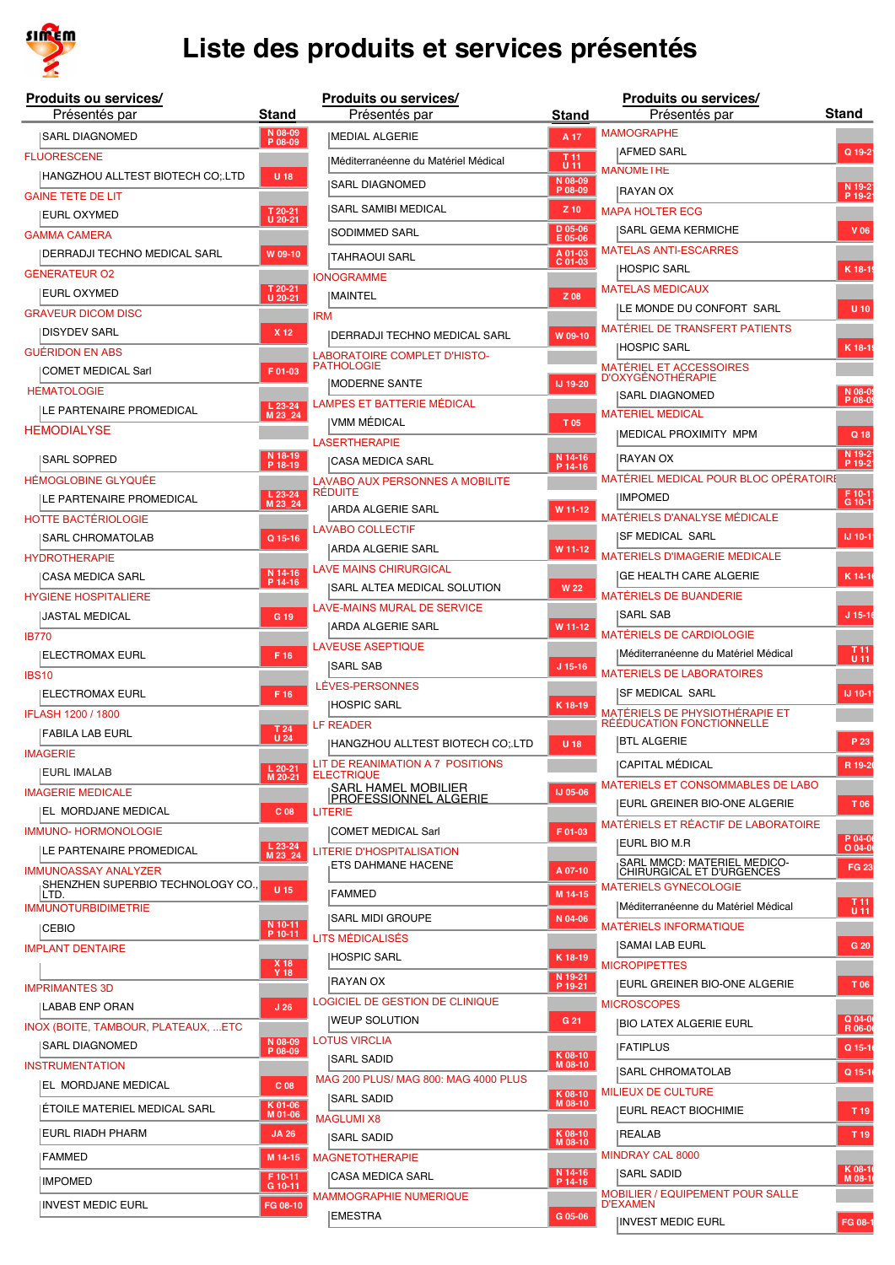

|              | Produits ou services/<br>Présentés par                 | Stand              |
|--------------|--------------------------------------------------------|--------------------|
|              | ISARL DIAGNOMED                                        | N 08-09            |
|              | <b>FLUORESCENE</b>                                     | $P$ 08-09          |
|              | HANGZHOU ALLTEST BIOTECH CO;.LTD                       | U 18               |
|              | <b>GAINE TETE DE LIT</b>                               |                    |
|              | EURL OXYMED                                            | T 20-21<br>U 20-21 |
|              | <b>GAMMA CAMERA</b>                                    |                    |
|              | DERRADJI TECHNO MEDICAL SARL                           | W 09-10            |
|              | GÉNÉRATEUR O2                                          |                    |
|              | EURL OXYMED                                            | T 20-21<br>U 20-21 |
|              | <b>GRAVEUR DICOM DISC</b>                              |                    |
|              | <b>DISYDEV SARL</b>                                    | X 12               |
|              | <b>GUÉRIDON EN ABS</b>                                 |                    |
|              | COMET MEDICAL Sarl<br><b>HÉMATOLOGIE</b>               | F01-03             |
|              | ILE PARTENAIRE PROMEDICAL                              | L 23-24<br>M 23_24 |
|              | <b>HEMODIALYSE</b>                                     |                    |
|              |                                                        |                    |
|              | <b>SARL SOPRED</b>                                     | N 18-19<br>P 18-19 |
|              | <b>HÉMOGLOBINE GLYQUÉE</b><br>LE PARTENAIRE PROMEDICAL |                    |
|              | <b>HOTTE BACTÉRIOLOGIE</b>                             | L 23-24<br>M 23_24 |
|              | <b>SARL CHROMATOLAB</b>                                | Q 15-16            |
|              | <b>HYDROTHERAPIE</b>                                   |                    |
|              | <b>CASA MEDICA SARL</b>                                | N 14-16<br>P 14-16 |
|              | HYGIÈNE HOSPITALIÈRE                                   |                    |
|              | JASTAL MEDICAL                                         | G 19               |
| <b>IB770</b> |                                                        |                    |
|              | ELECTROMAX EURL                                        | F 16               |
| <b>IBS10</b> |                                                        |                    |
|              | ELECTROMAX EURL                                        | F 16               |
|              | IFLASH 1200 / 1800                                     |                    |
|              | <b>FABILA LAB EURL</b>                                 | T 24<br>U 24       |
|              | <b>IMAGERIE</b>                                        | $L$ 20-21          |
|              | <b>EURL IMALAB</b>                                     | M 20-21            |
|              | <b>IMAGERIE MEDICALE</b>                               |                    |
|              | EL MORDJANE MEDICAL<br><b>IMMUNO-HORMONOLOGIE</b>      | C <sub>08</sub>    |
|              | LE PARTENAIRE PROMEDICAL                               | L 23-24<br>M 23_24 |
|              | <b>IMMUNOASSAY ANALYZER</b>                            |                    |
|              | SHENZHEN SUPERBIO TECHNOLOGY CO.,<br>LTD.              | <b>U15</b>         |
|              | <b>IMMUNOTURBIDIMETRIE</b>                             |                    |
|              | CEBIO                                                  | N 10-11<br>P 10-11 |
|              | <b>IMPLANT DENTAIRE</b>                                |                    |
|              |                                                        | X 18<br>Y 18       |
|              | <b>IMPRIMANTES 3D</b>                                  |                    |
|              | LABAB ENP ORAN                                         | J <sub>26</sub>    |
|              | INOX (BOITE, TAMBOUR, PLATEAUX, ETC<br>SARL DIAGNOMED  | N 08-09            |
|              | <b>INSTRUMENTATION</b>                                 | P 08-09            |
|              | EL MORDJANE MEDICAL                                    | C <sub>08</sub>    |
|              | ÉTOILE MATERIEL MEDICAL SARL                           | $K$ 01-06          |
|              | EURL RIADH PHARM                                       | M 01-06            |
|              |                                                        | <b>JA 26</b>       |
|              | FAMMED                                                 | M 14-15            |
|              | <b>IMPOMED</b>                                         | F 10-11<br>G 10-11 |
|              | <b>INVEST MEDIC EURL</b>                               | FG 08-10           |

| luits ou services/                     |                                                                           | Produits ou services/                                             |                    | Produits ou services/                                      |                           |
|----------------------------------------|---------------------------------------------------------------------------|-------------------------------------------------------------------|--------------------|------------------------------------------------------------|---------------------------|
| Présentés par                          | Stand                                                                     | Présentés par                                                     | <b>Stand</b>       | Présentés par                                              | <b>Stand</b>              |
| irl Diagnomed                          | N 08-09<br>P 08-09                                                        | <b>IMEDIAL ALGERIE</b>                                            | A 17               | <b>MAMOGRAPHE</b>                                          |                           |
| <b>RESCENE</b>                         |                                                                           | Méditerranéenne du Matériel Médical                               | T <sub>11</sub>    | AFMED SARL                                                 | Q 19-2                    |
| ANGZHOU ALLTEST BIOTECH CO;.LTD        | $U$ 18                                                                    |                                                                   | $U$ 11<br>N 08-09  | <b>MANOMETRE</b>                                           |                           |
| E TETE DE LIT                          |                                                                           | <b>SARL DIAGNOMED</b>                                             | P 08-09            | IRAYAN OX                                                  | N 19-2<br>P 19-2          |
| jrl oxymed                             | T 20-21<br>U 20-21                                                        | SARL SAMIBI MEDICAL                                               | $Z$ 10             | <b>MAPA HOLTER ECG</b>                                     |                           |
| <b>IA CAMERA</b>                       |                                                                           | SODIMMED SARL                                                     | D 05-06<br>E 05-06 | SARL GEMA KERMICHE                                         | V 06                      |
| ERRADJI TECHNO MEDICAL SARL            | W 09-10                                                                   | TAHRAOUI SARL                                                     | A 01-03            | <b>MATELAS ANTI-ESCARRES</b>                               |                           |
| <b>RATEUR O2</b>                       |                                                                           | <b>IONOGRAMME</b>                                                 | C 01-03            | HOSPIC SARL                                                | K 18-1                    |
| <b>JRL OXYMED</b>                      | T 20-21<br>U 20-21                                                        | MAINTEL                                                           | Z 08               | <b>MATELAS MÉDICAUX</b>                                    |                           |
| <b>EUR DICOM DISC</b>                  |                                                                           | <b>IRM</b>                                                        |                    | <b>ILE MONDE DU CONFORT SARL</b>                           | $U$ 10                    |
| SYDEV SARL                             | X 12                                                                      | DERRADJI TECHNO MEDICAL SARL                                      | W 09-10            | MATÉRIEL DE TRANSFERT PATIENTS                             |                           |
| <b>IDON EN ABS</b>                     |                                                                           | LABORATOIRE COMPLET D'HISTO-                                      |                    | HOSPIC SARL                                                | K 18-1                    |
| DMET MEDICAL Sarl                      | F 01-03                                                                   | <b>PATHOLOGIE</b>                                                 |                    | <b>MATÉRIEL ET ACCESSOIRES</b>                             |                           |
| ATOLOGIE                               |                                                                           | <b>IMODERNE SANTE</b>                                             | IJ 19-20           | <b>D'OXYGÉNOTHÉRAPIE</b><br> SARL DIAGNOMED                | N 08-09                   |
| : PARTENAIRE PROMEDICAL                | $L$ 23-24<br>M 23 24                                                      | LAMPES ET BATTERIE MÉDICAL                                        |                    | <b>MATERIEL MEDICAL</b>                                    |                           |
| ODIALYSE                               |                                                                           | IVMM MÉDICAL                                                      | T 05               | <b>IMEDICAL PROXIMITY MPM</b>                              | Q 18                      |
|                                        |                                                                           | <b>LASERTHERAPIE</b>                                              |                    |                                                            |                           |
| <b>ARL SOPRED</b>                      | N 18-19<br>P 18-19                                                        | CASA MEDICA SARL                                                  | N 14-16<br>P 14-16 | IRAYAN OX                                                  | N 19-2<br>P 19-2          |
| )GLOBINE GLYQUÉE                       |                                                                           | LAVABO AUX PERSONNES A MOBILITÉ<br><b>RÉDUITE</b>                 |                    | MATÉRIEL MEDICAL POUR BLOC OPÉRATOIRE                      |                           |
| <b>EPARTENAIRE PROMEDICAL</b>          | L 23-24<br>M 23_24                                                        | ARDA ALGERIE SARL                                                 | W 11-12            | <b>IMPOMED</b>                                             | F 10-1<br>G 10-1          |
| E BACTÉRIOLOGIE                        |                                                                           | <b>LAVABO COLLECTIF</b>                                           |                    | MATÉRIELS D'ANALYSE MÉDICALE                               |                           |
| \RL CHROMATOLAB                        | Q 15-16                                                                   | ARDA ALGERIE SARL                                                 | W 11-12            | SF MEDICAL SARL                                            | IJ 10-1                   |
| <b>OTHERAPIE</b>                       |                                                                           | <b>LAVE MAINS CHIRURGICAL</b>                                     |                    | <b>MATÉRIELS D'IMAGERIE MÉDICALE</b>                       |                           |
| \SA MEDICA SARL                        | N 14-16<br>P 14-16                                                        | SARL ALTEA MEDICAL SOLUTION                                       | <b>W22</b>         | GE HEALTH CARE ALGERIE                                     | K 14-1                    |
| ÈNE HOSPITALIÈRE                       |                                                                           |                                                                   |                    | <b>MATÉRIELS DE BUANDERIE</b>                              |                           |
| <b>STAL MEDICAL</b>                    | G 19                                                                      | LAVE-MAINS MURAL DE SERVICE                                       |                    | <b>SARL SAB</b>                                            | $J 15-10$                 |
|                                        |                                                                           | ARDA ALGERIE SARL                                                 | W 11-12            | <b>MATÉRIELS DE CARDIOLOGIE</b>                            |                           |
| ECTROMAX EURL.                         | F 16                                                                      | <b>LAVEUSE ASEPTIQUE</b>                                          |                    | Méditerranéenne du Matériel Médical                        | T <sub>11</sub><br>$U$ 11 |
|                                        |                                                                           | SARL SAB                                                          | $J$ 15-16          | <b>MATÉRIELS DE LABORATOIRES</b>                           |                           |
| ECTROMAX EURL                          | F 16                                                                      | LÉVES-PERSONNES                                                   |                    | <b>SF MEDICAL SARL</b>                                     | IJ 10-1                   |
| H 1200 / 1800                          |                                                                           | <b>HOSPIC SARL</b>                                                | K 18-19            | MATÉRIELS DE PHYSIOTHÉRAPIE ET                             |                           |
| \BILA LAB EURL                         | $\begin{array}{c}\n \overline{1} & 24 \\ \overline{0} & 24\n \end{array}$ | <b>LF READER</b>                                                  |                    | RÉÉDUCATION FONCTIONNELLE<br><b>BTL ALGERIE</b>            | P 23                      |
| ERIE                                   |                                                                           | HANGZHOU ALLTEST BIOTECH CO: LTD                                  | U 18               |                                                            |                           |
| JRL IMALAB                             | L 20-21<br>M 20-21                                                        | LIT DE REANIMATION A 7 POSITIONS<br><b>ELECTRIQUE</b>             |                    | <b>CAPITAL MÉDICAL</b>                                     | R 19-2                    |
| <b>ERIE MEDICALE</b>                   |                                                                           | <sub>I</sub> SARL HAMEL MOBILIER<br><u>IPROFESSIONNEL ALGERIE</u> | <b>IJ 05-06</b>    | MATERIELS ET CONSOMMABLES DE LABO                          |                           |
| . MORDJANE MEDICAL                     | C <sub>08</sub>                                                           | <b>LITERIE</b>                                                    |                    | EURL GREINER BIO-ONE ALGERIE                               | T 06                      |
| <b>NO-HORMONOLOGIE</b>                 |                                                                           | COMET MEDICAL Sarl                                                | F 01-03            | MATÉRIELS ET RÉACTIF DE LABORATOIRE                        | P 04-0                    |
| : PARTENAIRE PROMEDICAL                | L 23-24<br>M 23_24                                                        | LITERIE D'HOSPITALISATION                                         |                    | EURL BIO M.R                                               | $O$ 04-0                  |
| NOASSAY ANALYZER                       |                                                                           | ETS DAHMANE HACENE                                                | A 07-10            | SARL MMCD: MATERIEL MEDICO-<br>CHIRURGICAL ET D'URGENCES   | <b>FG 23</b>              |
| HENZHEN SUPERBIO TECHNOLOGY CO.,<br>D. | $U$ 15                                                                    | <b>IFAMMED</b>                                                    | M 14-15            | <b>MATÉRIELS GYNÉCOLOGIE</b>                               |                           |
| NOTURBIDIMETRIE                        |                                                                           |                                                                   |                    | Méditerranéenne du Matériel Médical                        | T <sub>11</sub><br>$U$ 11 |
| EBIO                                   | N 10-11<br>P 10-11                                                        | <b>SARL MIDI GROUPE</b>                                           | N 04-06            | <b>MATÉRIELS INFORMATIQUE</b>                              |                           |
| <b>INT DENTAIRE</b>                    |                                                                           | LITS MÉDICALISÉS                                                  |                    | <b>SAMAI LAB EURL</b>                                      | G 20                      |
|                                        | X 18<br>Y 18                                                              | <b>HOSPIC SARL</b>                                                | K 18-19            | <b>MICROPIPETTES</b>                                       |                           |
| <b>MANTES 3D</b>                       |                                                                           | RAYAN OX                                                          | N 19-21<br>P 19-21 | EURL GREINER BIO-ONE ALGERIE                               | T 06                      |
| BAB ENP ORAN                           | J <sub>26</sub>                                                           | LOGICIEL DE GESTION DE CLINIQUE                                   |                    | <b>MICROSCOPES</b>                                         |                           |
| (BOITE, TAMBOUR, PLATEAUX, ETC         |                                                                           | <b>WEUP SOLUTION</b>                                              | G 21               | <b>BIO LATEX ALGERIE EURL</b>                              | Q 04-0<br>R 06-0          |
| \rl diagnomed                          | N 08-09<br>P 08-09                                                        | <b>LOTUS VIRCLIA</b>                                              |                    | <b>FATIPLUS</b>                                            | Q 15-1                    |
| <b>UMENTATION</b>                      |                                                                           | SARL SADID                                                        | K 08-10<br>M 08-10 |                                                            |                           |
| . MORDJANE MEDICAL                     | C <sub>08</sub>                                                           | MAG 200 PLUS/ MAG 800: MAG 4000 PLUS                              |                    | <b>SARL CHROMATOLAB</b>                                    | Q 15-1                    |
|                                        | K 01-06                                                                   | SARL SADID                                                        | K 08-10<br>M 08-10 | <b>MILIEUX DE CULTURE</b>                                  |                           |
| TOILE MATERIEL MEDICAL SARL            | M 01-06                                                                   | <b>MAGLUMI X8</b>                                                 |                    | <b>EURL REACT BIOCHIMIE</b>                                | T <sub>19</sub>           |
| JRL RIADH PHARM                        | <b>JA 26</b>                                                              | SARL SADID                                                        | K 08-10<br>M 08-10 | <b>IREALAB</b>                                             | T 19                      |
| <b>\MMED</b>                           | M 14-15                                                                   | <b>MAGNETOTHERAPIE</b>                                            |                    | <b>MINDRAY CAL 8000</b>                                    |                           |
| <b>POMED</b>                           | F 10-11                                                                   | CASA MEDICA SARL                                                  | N 14-16<br>P 14-16 | SARL SADID                                                 | K 08-1<br>M 08-1          |
|                                        | G 10-11                                                                   | MAMMOGRAPHIE NUMĖRIQUE                                            |                    | <b>MOBILIER / EQUIPEMENT POUR SALLE</b><br><b>D'EXAMEN</b> |                           |
| VEST MEDIC EURL                        | FG 08-10                                                                  | EMESTRA                                                           | G 05-06            | <b>INVEST MEDIC EURL</b>                                   | FG 08-1                   |
|                                        |                                                                           |                                                                   |                    |                                                            |                           |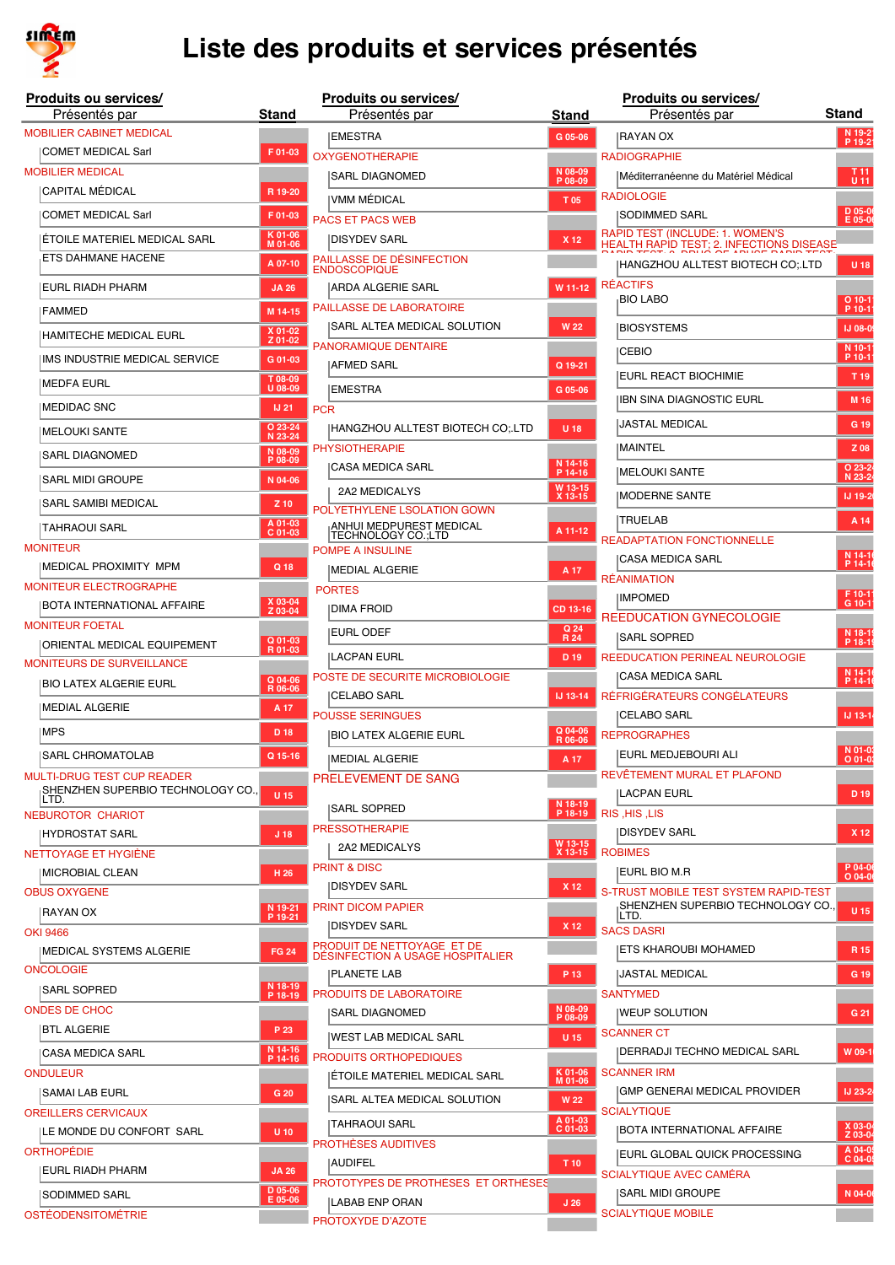

| <b>Produits ou services/</b><br>Présentés par | Stand                |
|-----------------------------------------------|----------------------|
| <b>MOBILIER CABINET MEDICAL</b>               |                      |
| <b>COMET MEDICAL Sarl</b>                     | F01-03               |
| <b>MOBILIER MÉDICAL</b>                       |                      |
| CAPITAL MÉDICAL                               | R 19-20              |
| <b>COMET MEDICAL Sarl</b>                     | F01-03               |
| ÉTOILE MATERIEL MEDICAL SARL                  | K 01-06<br>M 01-06   |
| ETS DAHMANE HACENE                            | A 07-10              |
| EURL RIADH PHARM                              | <b>JA 26</b>         |
| <b>FAMMED</b>                                 | M 14-15              |
| HAMITECHE MEDICAL EURL                        | X 01-02<br>Z 01-02   |
| IMS INDUSTRIE MEDICAL SERVICE                 | G 01-03              |
| <b>MEDFA EURL</b>                             | T 08-09<br>U 08-09   |
| <b>MEDIDAC SNC</b>                            | <b>IJ 21</b>         |
| <b>MELOUKI SANTE</b>                          | O 23-24              |
| SARL DIAGNOMED                                | N 23-24<br>N 08-09   |
|                                               | P 08-09              |
| <b>SARL MIDI GROUPE</b>                       | N 04-06              |
| SARL SAMIBI MEDICAL                           | $Z$ 10               |
| TAHRAOUI SARL                                 | A 01-03<br>C 01-03   |
| <b>MONITEUR</b><br>MEDICAL PROXIMITY MPM      |                      |
| <b>MONITEUR ELECTROGRAPHE</b>                 | Q 18                 |
| BOTA INTERNATIONAL AFFAIRE                    | X 03-04<br>Z 03-04   |
| <b>MONITEUR FOETAL</b>                        |                      |
| ORIENTAL MEDICAL EQUIPEMENT                   | Q 01-03<br>R 01-03   |
| <b>MONITEURS DE SURVEILLANCE</b>              |                      |
| <b>BIO LATEX ALGERIE EURL</b>                 | Q 04-06<br>R 06-06   |
| <b>MEDIAL ALGERIE</b>                         | A 17                 |
| MPS                                           | D 18                 |
| SARL CHROMATOLAB                              | Q 15-16              |
| <b>MULTI-DRUG TEST CUP READER</b>             |                      |
| SHENZHEN SUPERBIO TECHNOLOGY CO.,<br>LTD.     | U 15                 |
| <b>NEBUROTOR CHARIOT</b>                      |                      |
| <b>HYDROSTAT SARL</b>                         | J <sub>18</sub>      |
| NETTOYAGE ET HYGIÈNE<br>MICROBIAL CLEAN       | H <sub>26</sub>      |
| <b>OBUS OXYGENE</b>                           |                      |
| RAYAN OX                                      | N 19-21<br>$P$ 19-21 |
| OKI 9466                                      |                      |
| <b>MEDICAL SYSTEMS ALGERIE</b>                | <b>FG 24</b>         |
| <b>ONCOLOGIE</b>                              | N 18-19              |
| <b>SARL SOPRED</b>                            | P 18-19              |
| <b>ONDES DE CHOC</b><br><b>BTL ALGERIE</b>    | P 23                 |
| <b>CASA MEDICA SARL</b>                       | N 14-16              |
| <b>ONDULEUR</b>                               | P 14-16              |
| SAMAI LAB EURL                                | G 20                 |
| <b>OREILLERS CERVICAUX</b>                    |                      |
| ILE MONDE DU CONFORT SARL                     | U 10                 |
| ORTHOPÉDIE                                    |                      |
| EURL RIADH PHARM                              | <b>JA 26</b>         |
| SODIMMED SARL                                 | D 05-06<br>E 05-06   |
| <b>OSTÉODENSITOMÉTRIE</b>                     |                      |

| luits ou services/                      |                         |            | Produits ou services/                                          |                    | Produits ou services/                                                              |                         |
|-----------------------------------------|-------------------------|------------|----------------------------------------------------------------|--------------------|------------------------------------------------------------------------------------|-------------------------|
| Présentés par                           | Stand                   |            | Présentés par                                                  | Stand              | Présentés par                                                                      | Stand                   |
| <b>LIER CABINET MEDICAL</b>             |                         |            | <b>EMESTRA</b>                                                 | G 05-06            | IRAYAN OX                                                                          | $N$ 19<br>P 19          |
| DMET MEDICAL Sarl                       | F 01-03                 |            | <b>OXYGÉNOTHÉRAPIE</b>                                         |                    | <b>RADIOGRAPHIE</b>                                                                |                         |
| LIER MÉDICAL                            |                         |            | SARL DIAGNOMED                                                 | N 08-09<br>P 08-09 | Méditerranéenne du Matériel Médical                                                | $\mathbf{J}$            |
| APITAL MÉDICAL                          | R 19-20                 |            | IVMM MÉDICAL                                                   | T 05               | <b>RADIOLOGIE</b>                                                                  |                         |
| DMET MEDICAL Sarl                       | F 01-03                 |            | <b>PACS ET PACS WEB</b>                                        |                    | SODIMMED SARL                                                                      | D 05<br>$E$ Of          |
| TOILE MATERIEL MEDICAL SARL             | K 01-06<br>M 01-06      |            | <b>DISYDEV SARL</b>                                            | X 12               | RAPID TEST (INCLUDE: 1. WOMEN'S<br><b>HEALTH RAPID TEST; 2. INFECTIONS DISEASE</b> |                         |
| <b>IS DAHMANE HACENE</b>                | A 07-10                 |            | PAILLASSE DE DÉSINFECTION<br><b>ENDOSCOPIQUE</b>               |                    | HANGZHOU ALLTEST BIOTECH CO;.LTD                                                   | U.                      |
| JRL RIADH PHARM                         | <b>JA 26</b>            |            | <b>ARDA ALGERIE SARL</b>                                       | W 11-12            | <b>RÉACTIFS</b>                                                                    |                         |
| <b>\MMED</b>                            | M 14-15                 |            | PAILLASSE DE LABORATOIRE                                       |                    | <b>BIO LABO</b>                                                                    | O <sub>10</sub><br>P 10 |
| AMITECHE MEDICAL EURL                   | $X$ 01-02<br>Z 01-02    |            | SARL ALTEA MEDICAL SOLUTION                                    | <b>W22</b>         | <b>BIOSYSTEMS</b>                                                                  | IJ O                    |
| S INDUSTRIE MEDICAL SERVICE             | G 01-03                 |            | PANORAMIQUE DENTAIRE                                           |                    | <b>CEBIO</b>                                                                       | N <sub>1</sub><br>P 10  |
| EDFA EURL                               | T 08-09                 |            | AFMED SARL                                                     | Q 19-21            | <b>IEURL REACT BIOCHIMIE</b>                                                       | - T 1                   |
| EDIDAC SNC                              | U 08-09<br><b>IJ 21</b> | <b>PCR</b> | EMESTRA                                                        | G 05-06            | IBN SINA DIAGNOSTIC EURL                                                           | M                       |
|                                         | O 23-24                 |            | HANGZHOU ALLTEST BIOTECH CO;.LTD                               | U 18               | JASTAL MEDICAL                                                                     | G                       |
| ELOUKI SANTE                            | N 23-24<br>N 08-09      |            | <b>PHYSIOTHERAPIE</b>                                          |                    | <b>IMAINTEL</b>                                                                    | Z)                      |
| irl Diagnomed                           | P 08-09                 |            | <b>CASA MEDICA SARL</b>                                        | N 14-16<br>P 14-16 | <b>IMELOUKI SANTE</b>                                                              | O <sub>2</sub>          |
| irl midi groupe                         | N 04-06                 |            | 2A2 MEDICALYS                                                  | W 13-15            |                                                                                    | N <sub>23</sub>         |
| \RL SAMIBI MEDICAL                      | Z 10                    |            | POLYETHYLENE LSOLATION GOWN                                    | X 13-15            | MODERNE SANTE                                                                      | IJ <sub>1</sub>         |
| \HRAOUI SARL                            | A 01-03<br>$C$ 01-03    |            | ANHUI MEDPUREST MEDICAL<br>TECHNOLOGY CO.;LTD                  | A 11-12            | <b>ITRUELAB</b>                                                                    | A                       |
| <b>TEUR</b>                             |                         |            | POMPE A INSULINE                                               |                    | <b>READAPTATION FONCTIONNELLE</b>                                                  | N <sub>14</sub>         |
| Edical Proximity MPM                    | Q 18                    |            | MEDIAL ALGERIE                                                 | A 17               | <b>CASA MEDICA SARL</b>                                                            | P <sub>14</sub>         |
| TEUR ELECTROGRAPHE                      |                         |            | <b>PORTES</b>                                                  |                    | <b>RÉANIMATION</b>                                                                 | F 10                    |
| )TA INTERNATIONAL AFFAIRE               | X 03-04<br>Z 03-04      |            | DIMA FROID                                                     | CD 13-16           | <b>IMPOMED</b>                                                                     | G <sub>1</sub>          |
| <b>TEUR FOETAL</b>                      |                         |            | <b>IEURL ODEF</b>                                              | Q 24<br>R 24       | REEDUCATION GYNECOLOGIE<br><b>SARL SOPRED</b>                                      | N <sub>18</sub>         |
| RIENTAL MEDICAL EQUIPEMENT              | Q 01-03<br>R 01-03      |            | LACPAN EURL                                                    | D <sub>19</sub>    | <b>REEDUCATION PERINEAL NEUROLOGIE</b>                                             | P <sub>18</sub>         |
| TEURS DE SURVEILLANCE                   |                         |            | POSTE DE SECURITE MICROBIOLOGIE                                |                    | CASA MEDICA SARL                                                                   | N <sub>14</sub>         |
| O LATEX ALGERIE EURL                    | $Q$ 04-06<br>R 06-06    |            | <b>CELABO SARL</b>                                             | IJ 13-14           | RÉFRIGÉRATEURS CONGÉLATEURS                                                        | P <sub>14</sub>         |
| EDIAL ALGERIE                           | A 17                    |            | <b>POUSSE SERINGUES</b>                                        |                    | CELABO SARL                                                                        | $IJ$ 13                 |
| PS                                      | D 18                    |            | BIO LATEX ALGERIE EURL                                         | Q 04-06<br>R 06-06 | <b>REPROGRAPHES</b>                                                                |                         |
| \RL CHROMATOLAB                         | Q 15-16                 |            | MEDIAL ALGERIE                                                 | A 17               | <b>IEURL MEDJEBOURI ALI</b>                                                        | N 01<br>00              |
| <b>I-DRUG TEST CUP READER</b>           |                         |            | PRELEVEMENT DE SANG                                            |                    | REVÊTEMENT MURAL ET PLAFOND                                                        |                         |
| HENZHEN SUPERBIO TECHNOLOGY CO.,<br>D.  | $U$ 15                  |            |                                                                | N 18-19            | LACPAN EURL                                                                        | D.                      |
| ROTOR CHARIOT                           |                         |            | SARL SOPRED                                                    | P 18-19            | RIS, HIS, LIS                                                                      |                         |
| YDROSTAT SARL                           | J <sub>18</sub>         |            | <b>PRESSOTHERAPIE</b>                                          | W 13-15            | DISYDEV SARL                                                                       | $\mathbf{X}$            |
| OYAGE ET HYGIÉNE                        |                         |            | 2A2 MEDICALYS<br><b>PRINT &amp; DISC</b>                       | X 13-15            | <b>ROBIMES</b>                                                                     | P 04                    |
| CROBIAL CLEAN                           | H 26                    |            | DISYDEV SARL                                                   | X 12               | eurl bio m.r                                                                       | O <sub>04</sub>         |
| OXYGENE                                 | N 19-21                 |            | <b>PRINT DICOM PAPIER</b>                                      |                    | S-TRUST MOBILE TEST SYSTEM RAPID-TEST<br>SHENZHEN SUPERBIO TECHNOLOGY CO           |                         |
| AYAN OX                                 | P 19-21                 |            | <b>DISYDEV SARL</b>                                            | X 12               | ILTD.<br><b>SACS DASRI</b>                                                         | U.                      |
| 466                                     |                         |            | PRODUIT DE NETTOYAGE ET DE                                     |                    | ETS KHAROUBI MOHAMED                                                               | $\mathbf{R}$            |
| EDICAL SYSTEMS ALGERIE<br><b>)LOGIE</b> | <b>FG 24</b>            |            | DESINFECTION A USAGE HOSPITALIER                               |                    |                                                                                    |                         |
| \rl Sopred                              | N 18-19                 |            | <b>PLANETE LAB</b>                                             | P 13               | JASTAL MEDICAL                                                                     | G                       |
| S DE CHOC:                              | P 18-19                 |            | <b>PRODUITS DE LABORATOIRE</b><br> SARL DIAGNOMED              | N 08-09            | <b>SANTYMED</b><br><b>IWEUP SOLUTION</b>                                           | G.                      |
| <b>L ALGERIE</b>                        | P 23                    |            |                                                                | P 08-09            | <b>SCANNER CT</b>                                                                  |                         |
| \SA MEDICA SARL                         | N 14-16                 |            | WEST LAB MEDICAL SARL                                          | <b>U15</b>         | DERRADJI TECHNO MEDICAL SARL                                                       | W 0                     |
| ILEUR                                   | P 14-16                 |            | <b>PRODUITS ORTHOPEDIQUES</b><br> ÉTOILE MATERIEL MEDICAL SARL | K 01-06            | <b>SCANNER IRM</b>                                                                 |                         |
| \MAI LAB EURL                           | G 20                    |            |                                                                | M 01-06            | GMP GENERAI MEDICAL PROVIDER                                                       | IJ <sub>2</sub>         |
| LERS CERVICAUX                          |                         |            | SARL ALTEA MEDICAL SOLUTION                                    | <b>W22</b>         | <b>SCIALYTIQUE</b>                                                                 |                         |
| : MONDE DU CONFORT SARL                 | $U$ 10                  |            | TAHRAOUI SARL                                                  | A 01-03<br>C 01-03 | BOTA INTERNATIONAL AFFAIRE                                                         | $X$ 03<br>Z 03          |
| OPÉDIE                                  |                         |            | <b>PROTHÈSES AUDITIVES</b>                                     |                    | EURL GLOBAL QUICK PROCESSING                                                       | A 04<br>C <sub>04</sub> |
| JRL RIADH PHARM                         | <b>JA 26</b>            |            | AUDIFEL                                                        | T 10               | <b>SCIALYTIQUE AVEC CAMÉRA</b>                                                     |                         |
| )DIMMED SARL                            | D 05-06<br>E 05-06      |            | PROTOTYPES DE PROTHÈSES ET ORTHÉSES<br> LABAB ENP ORAN         |                    | SARL MIDI GROUPE                                                                   | N 04                    |
| ODENSITOMÉTRIE                          |                         |            | PROTOXYDE D'AZOTE                                              | J <sub>26</sub>    | <b>SCIALYTIQUE MOBILE</b>                                                          |                         |
|                                         |                         |            |                                                                |                    |                                                                                    |                         |

| <b>Produits ou services/</b>                                                |                           |
|-----------------------------------------------------------------------------|---------------------------|
| Présentés par                                                               | Stand                     |
| RAYAN OX                                                                    | N 19-2<br>P 19-2          |
| <b>RADIOGRAPHIE</b>                                                         |                           |
| Méditerranéenne du Matériel Médical                                         | T 11<br>U 11              |
| <b>RADIOLOGIE</b>                                                           |                           |
| SODIMMED SARL                                                               | D 05-00<br>$E$ 05-06      |
| RAPID TEST (INCLUDE: 1. WOMEN'S<br>HEALTH RAPID TEST; 2. INFECTIONS DISEASE |                           |
| HANGZHOU ALLTEST BIOTECH CO:.LTD                                            | U 18                      |
| RÉACTIFS                                                                    |                           |
| <b>BIO LABO</b>                                                             | O 10-1<br>P 10-1          |
| <b>BIOSYSTEMS</b>                                                           | IJ 08-0!                  |
| CEBIO                                                                       | N 10-1                    |
|                                                                             | $P$ 10-1                  |
| EURL REACT BIOCHIMIE                                                        | T 19                      |
| IBN SINA DIAGNOSTIC EURL                                                    | M 16                      |
| <b>JASTAL MEDICAL</b>                                                       | G 19                      |
| MAINTEL                                                                     | Z 08                      |
| MELOUKI SANTE                                                               | O 23-2<br>N 23-2          |
|                                                                             |                           |
| <b>MODERNE SANTE</b>                                                        | IJ 19-20                  |
| TRUELAB                                                                     | A 14                      |
| <b>READAPTATION FONCTIONNELLE</b>                                           |                           |
| <b>CASA MEDICA SARL</b>                                                     | N 14-1<br>P 14-1          |
| <b>RÉANIMATION</b>                                                          | F 10-1                    |
| <b>IMPOMED</b>                                                              | $G$ 10-1                  |
| REEDUCATION GYNECOLOGIE                                                     |                           |
| SARL SOPRED                                                                 | N 18-19<br>P 18-19        |
| REEDUCATION PERINEAL NEUROLOGIE<br><b>CASA MEDICA SARL</b>                  |                           |
| RÉFRIGÉRATEURS CONGÉLATEURS                                                 | N 14-16<br><u>P</u> 14-16 |
| <b>CELABO SARL</b>                                                          | IJ 13-1                   |
| <b>REPROGRAPHES</b>                                                         |                           |
| IEURL MEDJEBOURI ALI                                                        | N 01-03                   |
| REVËTEMENT MURAL ET PLAFOND                                                 | $Q$ 01-0                  |
| LACPAN EURL                                                                 | D 19                      |
| RIS, HIS, LIS                                                               |                           |
| <b>DISYDEV SARL</b>                                                         | X 12                      |
| <b>ROBIMES</b>                                                              |                           |
| Eurl bio m.r                                                                | P 04-06<br>$O$ 04-0       |
| <b>S-TRUST MOBILE TEST SYSTEM RAPID-TEST</b>                                |                           |
| SHENZHEN SUPERBIO TECHNOLOGY CO.,<br>LTD.                                   | U 15                      |
| <b>SACS DASRI</b>                                                           |                           |
| ETS KHAROUBI MOHAMED                                                        | R 15                      |
| <b>JASTAL MEDICAL</b>                                                       | G 19                      |
| <b>SANTYMED</b>                                                             |                           |
| WEUP SOLUTION                                                               | G 21                      |
| <b>SCANNER CT</b>                                                           |                           |
| IDERRADJI TECHNO MEDICAL SARL                                               | W 09-1                    |
| <b>SCANNER IRM</b>                                                          |                           |
| GMP GENERAI MEDICAL PROVIDER                                                | IJ 23-2                   |
| <b>SCIALYTIQUE</b>                                                          |                           |
| BOTA INTERNATIONAL AFFAIRE                                                  | X 03-04<br>Z 03-04        |
| EURL GLOBAL QUICK PROCESSING                                                | A 04-0!<br>$C 04-0!$      |
| <b>SCIALYTIQUE AVEC CAMERA</b>                                              |                           |
| SARL MIDI GROUPE                                                            | N 04-06                   |
| <b>SCIALYTIQUE MOBILE</b>                                                   |                           |